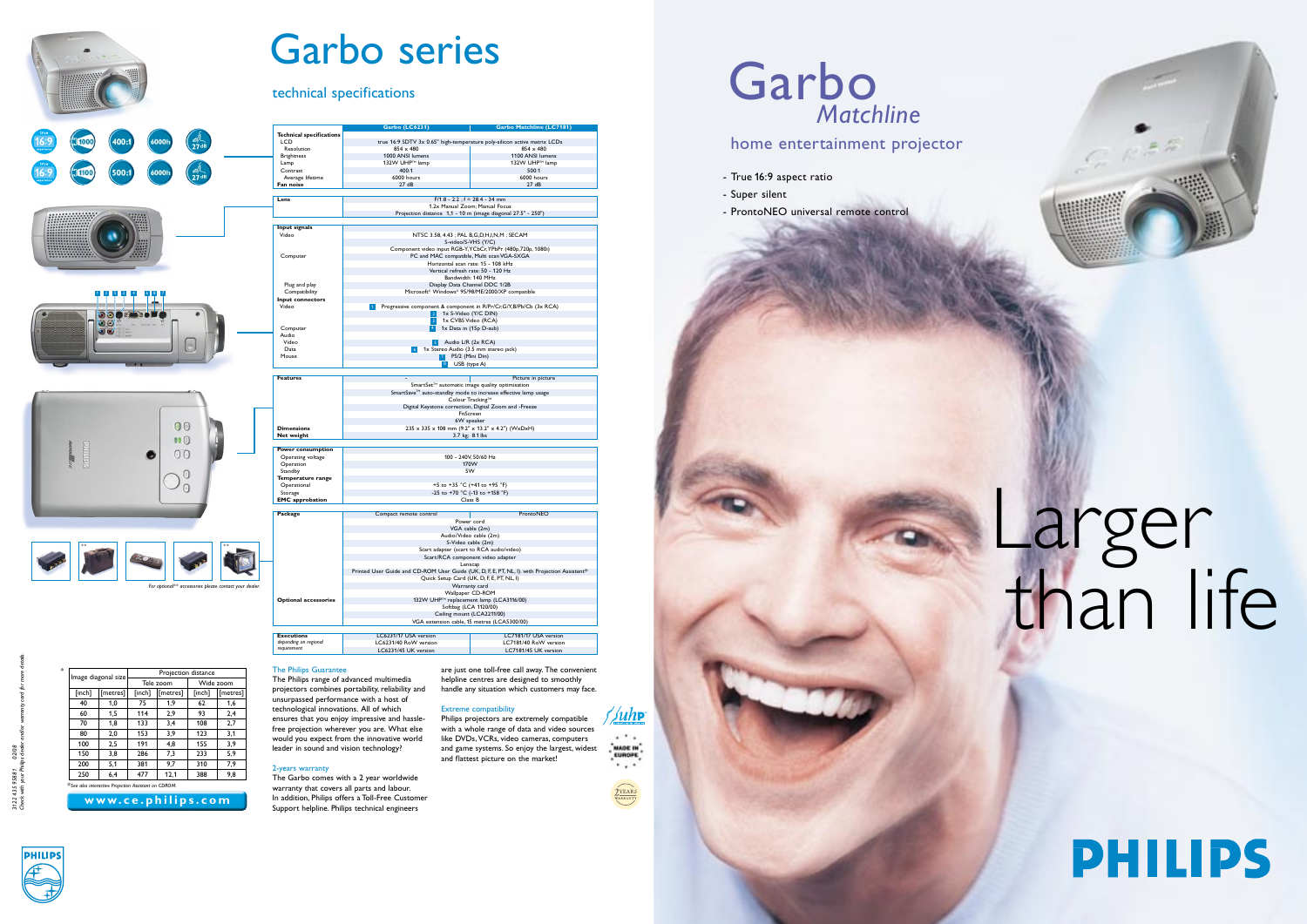# home entertainment projector

- True 16:9 aspect ratio
- Super silent

# Garbo *Matchline*





# Larger than life





# Garbo series

## technical specifications

**Technical**<br>LCD

**Input signal** 

Plug and play<br>Compatibility<br>**Input connect** 

Compute<br>Audio<br>Video<br>Data<br>Mouse

**Temperature**<br>Operational

The Philips Guarantee

The Philips range of advanced multimedia

#### projectors combines portability, reliability and unsurpassed performance with a host of technological innovations. All of which ensures that you enjoy impressive and hassle-

free projection wherever you are. What else would you expect from the innovative world leader in sound and vision technology?

#### 2-years warranty

LCD<br>LCD true 16:9 SDTV 3x 0.65" high-temperature poly-silicon active matrix LCD<br>Resolution 854 x 480 854 x 480 Resolution 854 x 480 854 x 480 Brightness 1000 ANSI lumens 1100 ANSI lumens 132W UHPTM 132W UHPTM 132W UHPTM 132W UHPTM 132W UHPTM 132W UHPTM 142W UHPTM lamp 132W UHPTM lamp 132W UHPTM l<br>Contrast 132W UHPTM 132W UHPTM lamp 132W UHPTM lamp 132W UHPTM lamp 132W UHPTM lamp 132W UHPTM lamp 14 Contrast 400:1 500:1 Average lifetime 6000 hours 6000 hours **Fan noise** 27 dB 27 dB

**Lens** F/1.8 - 2.2 ; f = 28.4 - 34 mm<br>1.2x Manual Zoom; Manual Zoom; Manual Focus<br>Projection distance 1,1 - 10 m (image diagonal 27.5" - 250")

Video<br>
MTSC 3.58, 4.43 ; PAL B, G, D, H, J, N, M ; SECAM<br>
Computer<br>
Component video input RGB-Y, YGbCr, YPbPr (480p, 720p, 1080i)<br>
PC and MAC compatible, Multi scan VGA-SXGA<br>
Horizontal scan rate: 15 - 108 kHz<br>
Vertical ne

Plug and play **Display Display Data Channel DDC 1/2B**<br>Compatibility Compatible Microsoft® Windows® 95/98/ME/2000/XP compatible

1x CVBS Video (RCA) **1x Data in CVBS Video (RCA)** and the COMB Of The COMB Of The COMB Of The COMB Of The COMB O<br>1x Data in (15p D-sub)

Video **Data 1x Stereo Audio L/R (2x RCA)** Data 1x Stereo Audio (3.5 mm stereo jack) **Audio (3.5 mm stereo jack)** 1x Stereo Audio (3.5 mm stereo jack) **Audio L/R** (2x RCA) **Mouse** PS/2 (Mini Din) **PS/2 (Mini Din) 12 (Mini D** 

Video **Progressive component & component in R/Pr/Cr,G/Y,B/Pb/Cb (3x RCA)**<br>2 1x S-Video (Y/C DIN)<br>3 1x S-VBS Video (RCA)

 $\begin{array}{c|c}\n\text{5} & \text{7} \\
\hline\n\text{6} & \text{1x Sterec} \\
\hline\n\text{7} & \text{8}\n\end{array}$ 

Features **Features**<br>
SmartSet<sup>TM</sup> automatic image quality optimisation<br>
SmartSave<sup>TM</sup> auto-standby mode to increase effective lamp usage<br>
Colour Tracking<sup>TM</sup><br>
Digital Keystone correction, Digital Zoom and -Freeze

FitScreen **FitScreen Executed Executed Executed Executed Executed Executed Executed Executed Executed Executed**<br>235 x 335 x 108 mm (9.2" x 13.2" x 4.2") (WxDxH)

**Net weight 1.1 and 1.2 and 1.4 and 1.4 and 1.4 and 1.4 and 1.4 and 1.4 and 1.4 and 1.4 and 1.4 and 1.4 and 1.4 and 1.4 and 1.4 and 1.4 and 1.4 and 1.4 and 1.4 and 1.4 and 1.4 and 1.4 and 1.4 and 1.4 and 1.4 and 1.4 and** 

The Garbo comes with a 2 year worldwide warranty that covers all parts and labour. In addition, Philips offers a Toll-Free Customer Support helpline. Philips technical engineers

are just one toll-free call away. The convenient helpline centres are designed to smoothly handle any situation which customers may face.

LC7181/45 UK version

### Extreme compatibility

Philips projectors are extremely compatible with a whole range of data and video sources like DVDs, VCRs, video cameras, computers and game systems. So enjoy the largest, widest and flattest picture on the market!

# MADE IN . . . **QYEARS**

**Juhp**  $\cdots$ 









**Garbo (LC6231) Garbo Matchline (LC7181)** 

| [inch] | Image diagonal size |           |          |                                                      |          |
|--------|---------------------|-----------|----------|------------------------------------------------------|----------|
|        |                     | Tele zoom |          | Wide zoom                                            |          |
|        | [metres]            | [inch]    | [metres] | [inch]                                               | [metres] |
| 40     | 1,0                 | 75        | 1.9      | 62                                                   | 1,6      |
| 60     | 1.5                 | 114       | 2.9      | 93                                                   | 2,4      |
| 70     | 1.8                 | 133       | 3.4      | 108                                                  | 2,7      |
| 80     | 2.0                 | 153       | 3.9      | 123                                                  | 3.1      |
| 100    | 2.5                 | 191       | 4.8      | 155                                                  | 3.9      |
| 150    | 3,8                 | 286       | 7,3      | 233                                                  | 5.9      |
| 200    | 5.1                 | 381       | 9.7      | 310                                                  | 7.9      |
| 250    | 6.4                 | 477       | 12.1     | 388                                                  | 9.8      |
|        |                     |           |          |                                                      |          |
|        |                     |           |          | *See also interactive Projection Assistant on CDROM. |          |

**Power consumption**  Operating voltage 100 - 240V, 50/60 Hz Operation 170W Standby 5W

Operational +5 to +35 °C (+41 to +95 °F)<br>Storage -25 to +70 °C (-13 to +158 °F) **EMC** approbation **Class B** 

**Package Compact remote control ProntoNEO** 

Wallpaper CD-ROM<br> **Optional accessories** 132W UHP<sup>TM</sup> replacement lamp (LCA3116/00)<br>
Softbag (LCA 1120/00)<br>
VGA extension cable, 15 metres (LCA5300/00)<br>
VGA extension cable, 15 metres (LCA5300/00)

**Executions Executions LC6231/17 USA version LC6231/17 USA version LC7181/40 RoW version LC7181/40 RoW version** 

Power cord VGA cable (2m) Audio/Video cable (2m) S-Video cable (2m) Scart adapter (scart to RCA audio/video) Scart/RCA component video adapter Lenscap

Warranty card

LC6231/40 RoW version<br>
LC6231/40 RoW version<br>
LC7181/45 UK version<br>
LC7181/45 UK version

Lenscap<br>Printed User Guide and CD-ROM User Guide (UK, D, F, E, PT, NL, I).<br>Quick Setup Card (UK, D, F, E, PT, NL, I)

*\*\**



*depending on regional requirement*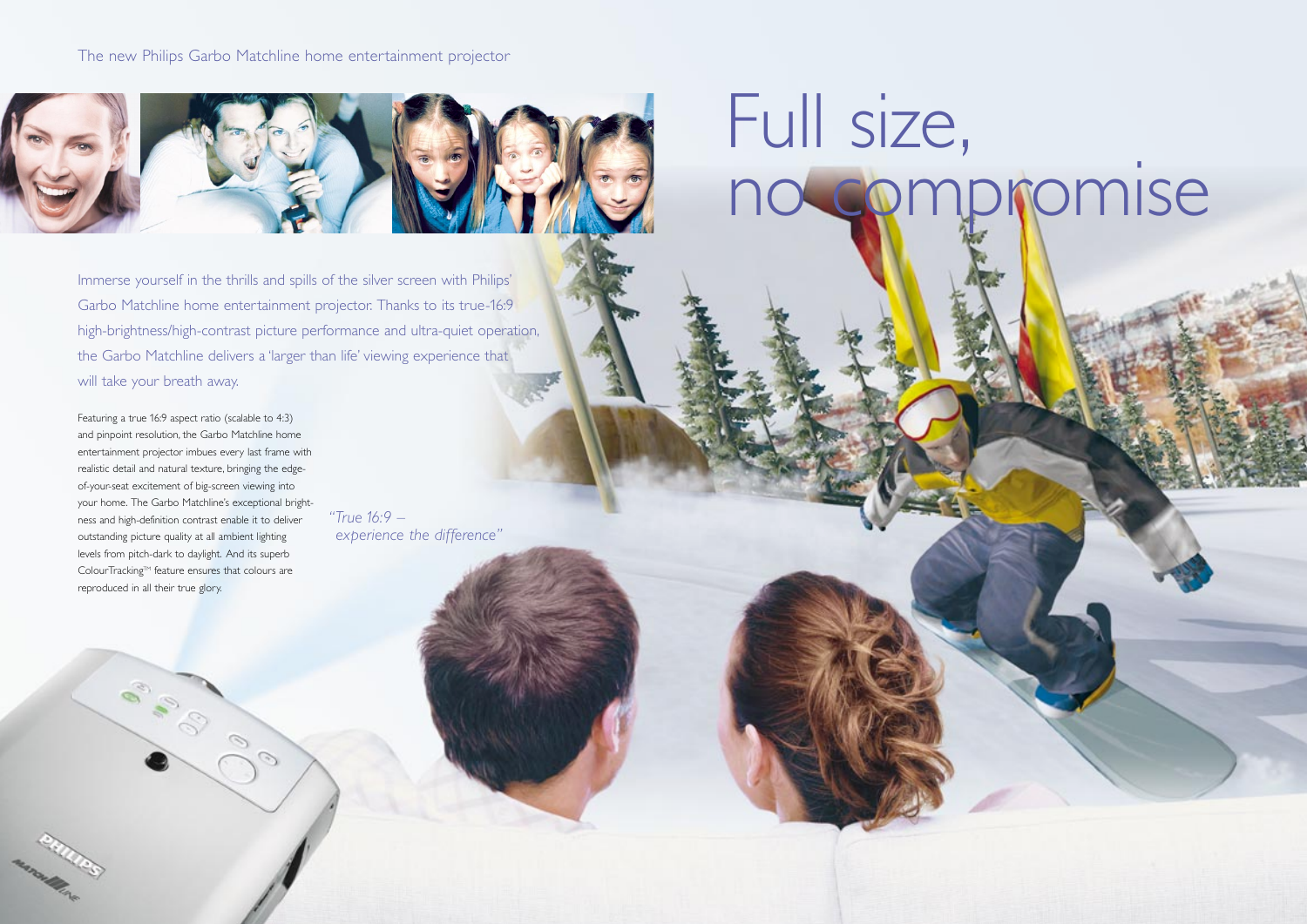

Immerse yourself in the thrills and spills of the silver screen with Philips' Garbo Matchline home entertainment projector. Thanks to its true-16:9 high-brightness/high-contrast picture performance and ultra-quiet operation, the Garbo Matchline delivers a 'larger than life' viewing experience that will take your breath away.

## The new Philips Garbo Matchline home entertainment projector



Featuring a true 16:9 aspect ratio (scalable to 4:3) and pinpoint resolution, the Garbo Matchline home entertainment projector imbues every last frame with realistic detail and natural texture, bringing the edgeof-your-seat excitement of big-screen viewing into your home. The Garbo Matchline's exceptional brightness and high-definition contrast enable it to deliver outstanding picture quality at all ambient lighting levels from pitch-dark to daylight. And its superb ColourTracking™ feature ensures that colours are reproduced in all their true glory.

Control

espart of the

 $\mathcal{O}$ 

*"True 16:9 – experience the difference"*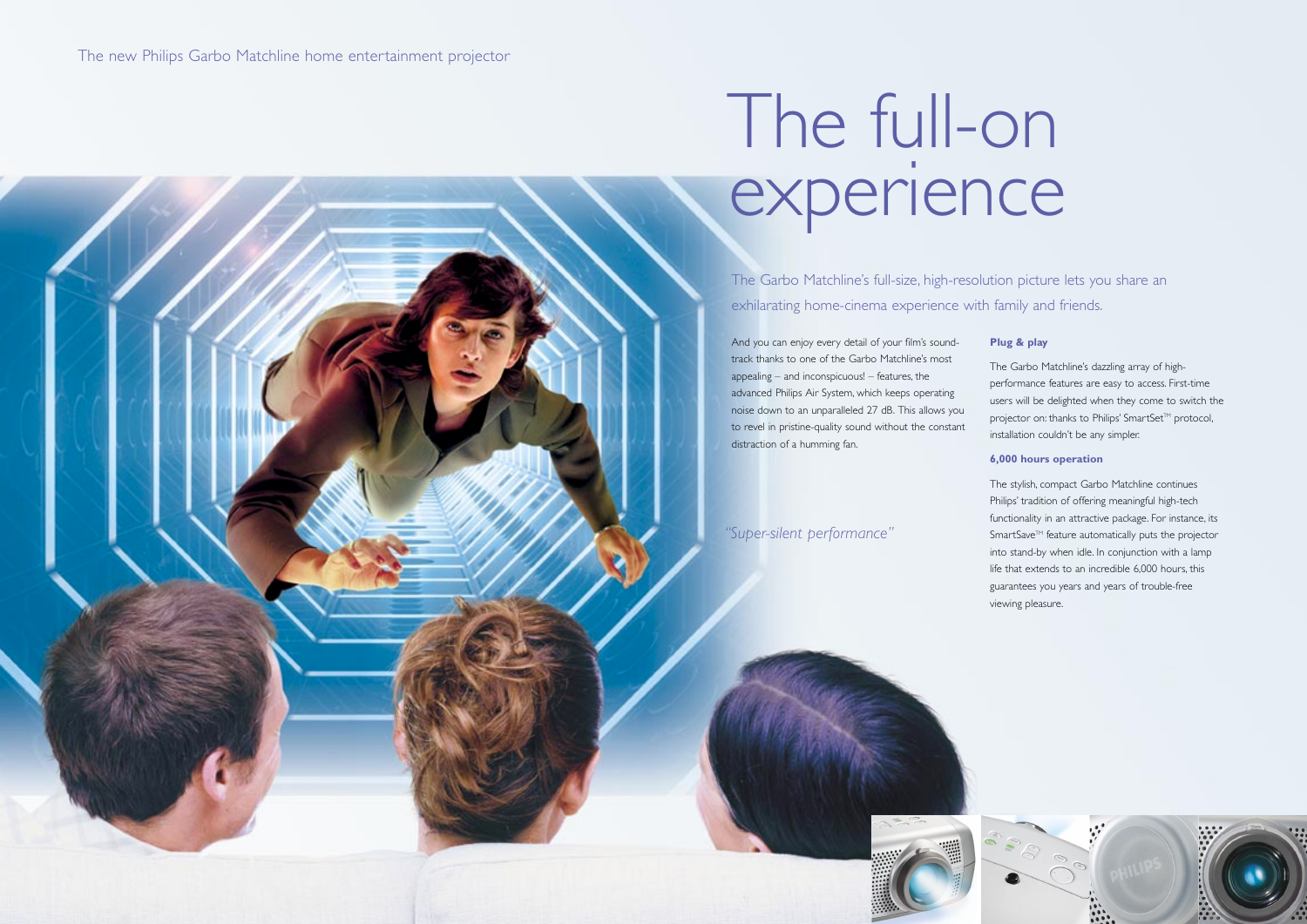# The full-on experience

The Garbo Matchline's full-size, high-resolution picture lets you share an exhilarating home-cinema experience with family and friends.

And you can enjoy every detail of your film's soundtrack thanks to one of the Garbo Matchline's most appealing – and inconspicuous! – features, the advanced Philips Air System, which keeps operating noise down to an unparalleled 27 dB. This allows you to revel in pristine-quality sound without the constant distraction of a humming fan.

### **Plug & play**

The Garbo Matchline's dazzling array of highperformance features are easy to access. First-time users will be delighted when they come to switch the projector on: thanks to Philips' SmartSet™ protocol, installation couldn't be any simpler.

#### **6,000 hours operation**

The stylish, compact Garbo Matchline continues Philips' tradition of offering meaningful high-tech functionality in an attractive package. For instance, its SmartSave<sup>™</sup> feature automatically puts the projector into stand-by when idle. In conjunction with a lamp life that extends to an incredible 6,000 hours, this guarantees you years and years of trouble-free viewing pleasure.

*"Super-silent performance"*